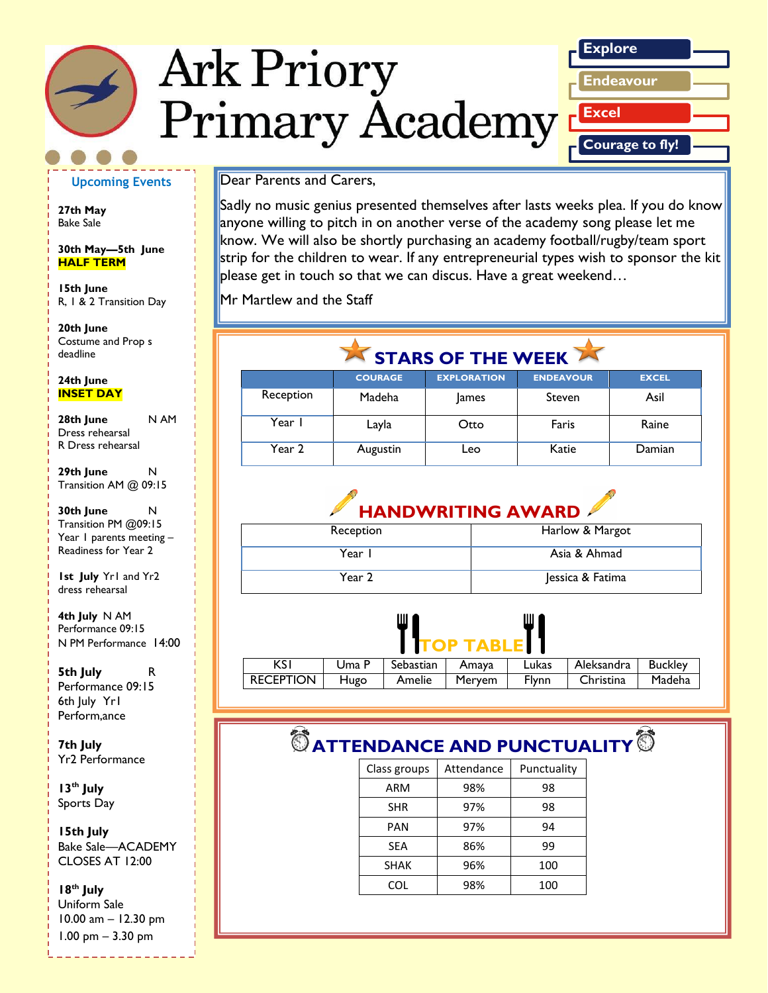# **Ark Priory Primary Academy**



#### **Upcoming Events**

**27th May**  Bake Sale

**30th May—5th June HALF TERM**

**15th June** R, 1 & 2 Transition Day

*Caption describing*  deadline **20th June**  Costume and Prop s

#### *picture or graphic.* **24th June INSET DAY**

**28th June** N AM Dress rehearsal R Dress rehearsal

**29th June** N Transition AM @ 09:15

**30th June** N Transition PM @09:15 Year 1 parents meeting -Readiness for Year 2

**1st July** Yr1 and Yr2 dress rehearsal

**4th July** N AM Performance 09:15 N PM Performance 14:00

**5th July** R Performance 09:15 6th July Yr1 Perform,ance

**7th July** Yr2 Performance

**13th July** Sports Day

**15th July** Bake Sale—ACADEMY CLOSES AT 12:00

#### **18th July**  Uniform Sale

10.00 am – 12.30 pm 1.00 pm – 3.30 pm

Dear Parents and Carers,

Sadly no music genius presented themselves after lasts weeks plea. If you do know anyone willing to pitch in on another verse of the academy song please let me know. We will also be shortly purchasing an academy football/rugby/team sport strip for the children to wear. If any entrepreneurial types wish to sponsor the kit please get in touch so that we can discus. Have a great weekend…

Mr Martlew and the Staff

## STARS OF THE WEEK

|           | <b>COURAGE</b> | <b>EXPLORATION</b> | <b>ENDEAVOUR</b> | <b>EXCEL</b> |
|-----------|----------------|--------------------|------------------|--------------|
| Reception | Madeha         | <b>James</b>       | Steven           | Asil         |
| Year I    | Layla          | Otto               | Faris            | Raine        |
| Year 2    | Augustin       | ∟eo                | Katie            | Damian       |

## **HANDWRITING AWARD**

| Reception | Harlow & Margot  |
|-----------|------------------|
| Year I    | Asia & Ahmad     |
| Year 2    | Jessica & Fatima |



| I IIUP IABLEI I  |       |                   |        |              |            |         |
|------------------|-------|-------------------|--------|--------------|------------|---------|
| KS'              | Uma P | Sebastian   Amaya |        | Lukas        | Aleksandra | Buckley |
| <b>RECEPTION</b> | Hugo  | Amelie            | Mervem | <b>Flynn</b> | Christina  | Madeha  |

## $^\circledR$  ATTENDANCE AND PUNCTUALITY<sup>1</sup>

| Class groups | Attendance | Punctuality |
|--------------|------------|-------------|
| ARM          | 98%        | 98          |
| <b>SHR</b>   | 97%        | 98          |
| PAN          | 97%        | 94          |
| SEA          | 86%        | 99          |
| <b>SHAK</b>  | 96%        | 100         |
| COL          | 98%        | 100         |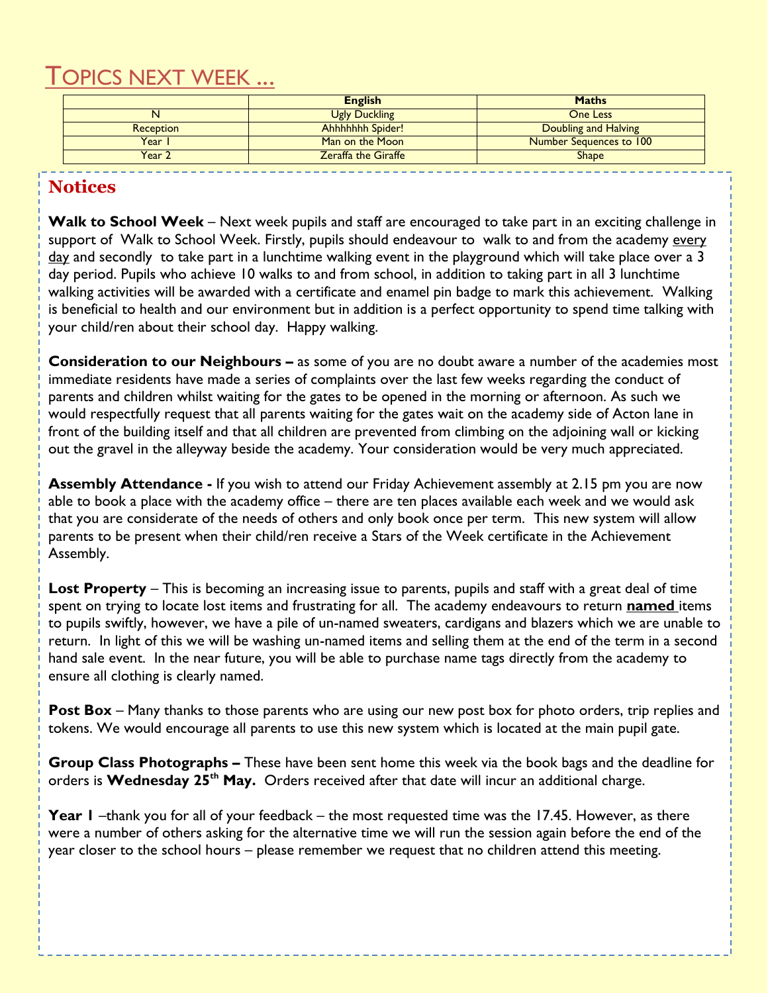## TOPICS NEXT WEEK ...

|                  | <b>English</b>             | <b>Maths</b>            |
|------------------|----------------------------|-------------------------|
|                  | <b>Ugly Duckling</b>       | One Less                |
| <b>Reception</b> | <b>Ahhhhhhh Spider!</b>    | Doubling and Halving    |
| Year             | Man on the Moon            | Number Sequences to 100 |
| Year 2           | <b>Zeraffa the Giraffe</b> | <b>Shape</b>            |

### **Notices**

**Walk to School Week** – Next week pupils and staff are encouraged to take part in an exciting challenge in support of Walk to School Week. Firstly, pupils should endeavour to walk to and from the academy every day and secondly to take part in a lunchtime walking event in the playground which will take place over a 3 day period. Pupils who achieve 10 walks to and from school, in addition to taking part in all 3 lunchtime walking activities will be awarded with a certificate and enamel pin badge to mark this achievement. Walking is beneficial to health and our environment but in addition is a perfect opportunity to spend time talking with your child/ren about their school day. Happy walking.

**Consideration to our Neighbours –** as some of you are no doubt aware a number of the academies most immediate residents have made a series of complaints over the last few weeks regarding the conduct of parents and children whilst waiting for the gates to be opened in the morning or afternoon. As such we would respectfully request that all parents waiting for the gates wait on the academy side of Acton lane in front of the building itself and that all children are prevented from climbing on the adjoining wall or kicking out the gravel in the alleyway beside the academy. Your consideration would be very much appreciated.

**Assembly Attendance -** If you wish to attend our Friday Achievement assembly at 2.15 pm you are now able to book a place with the academy office – there are ten places available each week and we would ask that you are considerate of the needs of others and only book once per term. This new system will allow parents to be present when their child/ren receive a Stars of the Week certificate in the Achievement Assembly.

**Lost Property** – This is becoming an increasing issue to parents, pupils and staff with a great deal of time spent on trying to locate lost items and frustrating for all. The academy endeavours to return **named** items to pupils swiftly, however, we have a pile of un-named sweaters, cardigans and blazers which we are unable to return. In light of this we will be washing un-named items and selling them at the end of the term in a second hand sale event. In the near future, you will be able to purchase name tags directly from the academy to ensure all clothing is clearly named.

**Post Box** – Many thanks to those parents who are using our new post box for photo orders, trip replies and tokens. We would encourage all parents to use this new system which is located at the main pupil gate.

**Group Class Photographs –** These have been sent home this week via the book bags and the deadline for orders is **Wednesday 25th May.** Orders received after that date will incur an additional charge.

**Year 1** –thank you for all of your feedback – the most requested time was the 17.45. However, as there were a number of others asking for the alternative time we will run the session again before the end of the year closer to the school hours – please remember we request that no children attend this meeting.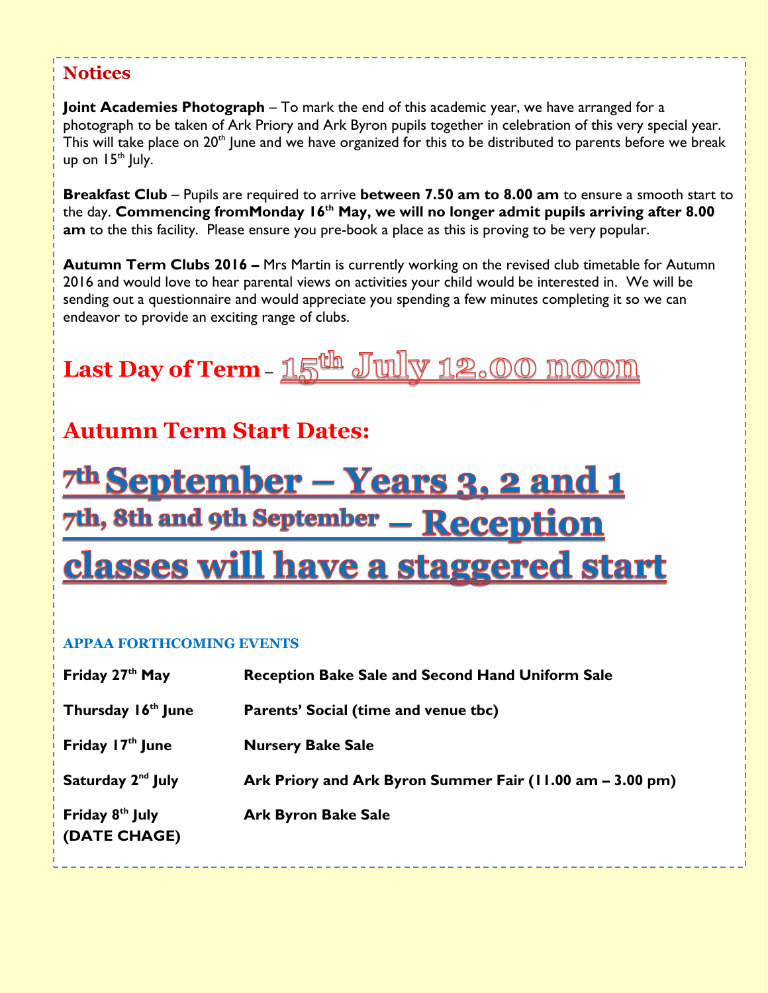### **Notices**

**Joint Academies Photograph** – To mark the end of this academic year, we have arranged for a photograph to be taken of Ark Priory and Ark Byron pupils together in celebration of this very special year. This will take place on 20<sup>th</sup> June and we have organized for this to be distributed to parents before we break up on  $15<sup>th</sup>$  July.

**Breakfast Club** – Pupils are required to arrive **between 7.50 am to 8.00 am** to ensure a smooth start to the day. **Commencing fromMonday 16th May, we will no longer admit pupils arriving after 8.00 am** to the this facility. Please ensure you pre-book a place as this is proving to be very popular.

**Autumn Term Clubs 2016 –** Mrs Martin is currently working on the revised club timetable for Autumn 2016 and would love to hear parental views on activities your child would be interested in. We will be sending out a questionnaire and would appreciate you spending a few minutes completing it so we can endeavor to provide an exciting range of clubs.

## **Last Day of Term–**

## **Autumn Term Start Dates:**

<u> 7th September – Years 3, 2 and 1</u> 7th, 8th and 9th September - Reception <u>classes will have a staggered start</u>

#### **APPAA FORTHCOMING EVENTS**

| Friday 27 <sup>th</sup> May                 | <b>Reception Bake Sale and Second Hand Uniform Sale</b>   |
|---------------------------------------------|-----------------------------------------------------------|
| Thursday 16 <sup>th</sup> June              | Parents' Social (time and venue tbc)                      |
| Friday 17 <sup>th</sup> June                | <b>Nursery Bake Sale</b>                                  |
| Saturday 2 <sup>nd</sup> July               | Ark Priory and Ark Byron Summer Fair (11.00 am – 3.00 pm) |
| Friday 8 <sup>th</sup> July<br>(DATE CHAGE) | <b>Ark Byron Bake Sale</b>                                |